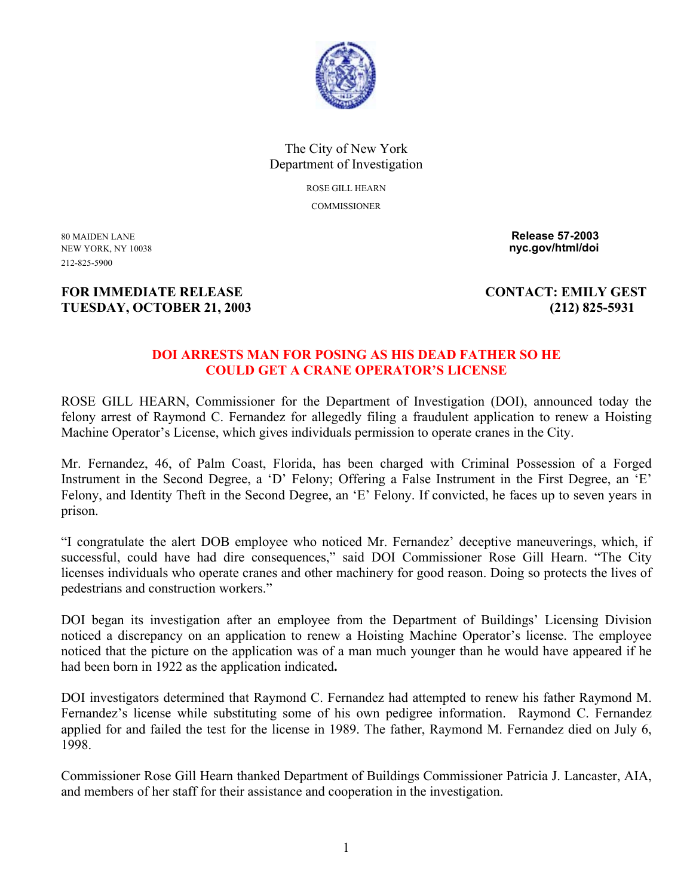

## The City of New York Department of Investigation

ROSE GILL HEARN **COMMISSIONER** 

212-825-5900

80 MAIDEN LANE **Release 57-2003**  NEW YORK, NY 10038 **nyc.gov/html/doi** 

## **FOR IMMEDIATE RELEASE CONTACT: EMILY GEST TUESDAY, OCTOBER 21, 2003 (212) 825-5931**

## **DOI ARRESTS MAN FOR POSING AS HIS DEAD FATHER SO HE COULD GET A CRANE OPERATOR'S LICENSE**

ROSE GILL HEARN, Commissioner for the Department of Investigation (DOI), announced today the felony arrest of Raymond C. Fernandez for allegedly filing a fraudulent application to renew a Hoisting Machine Operator's License, which gives individuals permission to operate cranes in the City.

Mr. Fernandez, 46, of Palm Coast, Florida, has been charged with Criminal Possession of a Forged Instrument in the Second Degree, a 'D' Felony; Offering a False Instrument in the First Degree, an 'E' Felony, and Identity Theft in the Second Degree, an 'E' Felony. If convicted, he faces up to seven years in prison.

"I congratulate the alert DOB employee who noticed Mr. Fernandez' deceptive maneuverings, which, if successful, could have had dire consequences," said DOI Commissioner Rose Gill Hearn. "The City licenses individuals who operate cranes and other machinery for good reason. Doing so protects the lives of pedestrians and construction workers."

DOI began its investigation after an employee from the Department of Buildings' Licensing Division noticed a discrepancy on an application to renew a Hoisting Machine Operator's license. The employee noticed that the picture on the application was of a man much younger than he would have appeared if he had been born in 1922 as the application indicated**.** 

DOI investigators determined that Raymond C. Fernandez had attempted to renew his father Raymond M. Fernandez's license while substituting some of his own pedigree information. Raymond C. Fernandez applied for and failed the test for the license in 1989. The father, Raymond M. Fernandez died on July 6, 1998.

Commissioner Rose Gill Hearn thanked Department of Buildings Commissioner Patricia J. Lancaster, AIA, and members of her staff for their assistance and cooperation in the investigation.